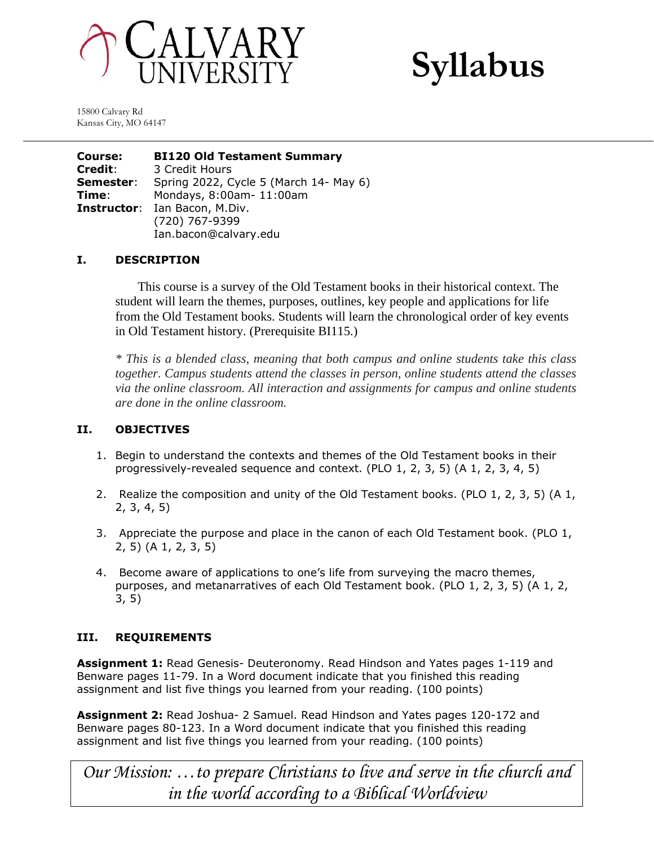



15800 Calvary Rd Kansas City, MO 64147

**Course: BI120 Old Testament Summary Credit**: 3 Credit Hours **Semester**: Spring 2022, Cycle 5 (March 14- May 6) **Time**: Mondays, 8:00am- 11:00am **Instructor**: Ian Bacon, M.Div. (720) 767-9399 Ian.bacon@calvary.edu

## **I. DESCRIPTION**

This course is a survey of the Old Testament books in their historical context. The student will learn the themes, purposes, outlines, key people and applications for life from the Old Testament books. Students will learn the chronological order of key events in Old Testament history. (Prerequisite BI115.)

*\* This is a blended class, meaning that both campus and online students take this class together. Campus students attend the classes in person, online students attend the classes via the online classroom. All interaction and assignments for campus and online students are done in the online classroom.*

## **II. OBJECTIVES**

- 1. Begin to understand the contexts and themes of the Old Testament books in their progressively-revealed sequence and context. (PLO 1, 2, 3, 5) (A 1, 2, 3, 4, 5)
- 2. Realize the composition and unity of the Old Testament books. (PLO 1, 2, 3, 5) (A 1, 2, 3, 4, 5)
- 3. Appreciate the purpose and place in the canon of each Old Testament book. (PLO 1, 2, 5) (A 1, 2, 3, 5)
- 4. Become aware of applications to one's life from surveying the macro themes, purposes, and metanarratives of each Old Testament book. (PLO 1, 2, 3, 5) (A 1, 2, 3, 5)

# **III. REQUIREMENTS**

**Assignment 1:** Read Genesis- Deuteronomy. Read Hindson and Yates pages 1-119 and Benware pages 11-79. In a Word document indicate that you finished this reading assignment and list five things you learned from your reading. (100 points)

**Assignment 2:** Read Joshua- 2 Samuel. Read Hindson and Yates pages 120-172 and Benware pages 80-123. In a Word document indicate that you finished this reading assignment and list five things you learned from your reading. (100 points)

*Our Mission: …to prepare Christians to live and serve in the church and in the world according to a Biblical Worldview*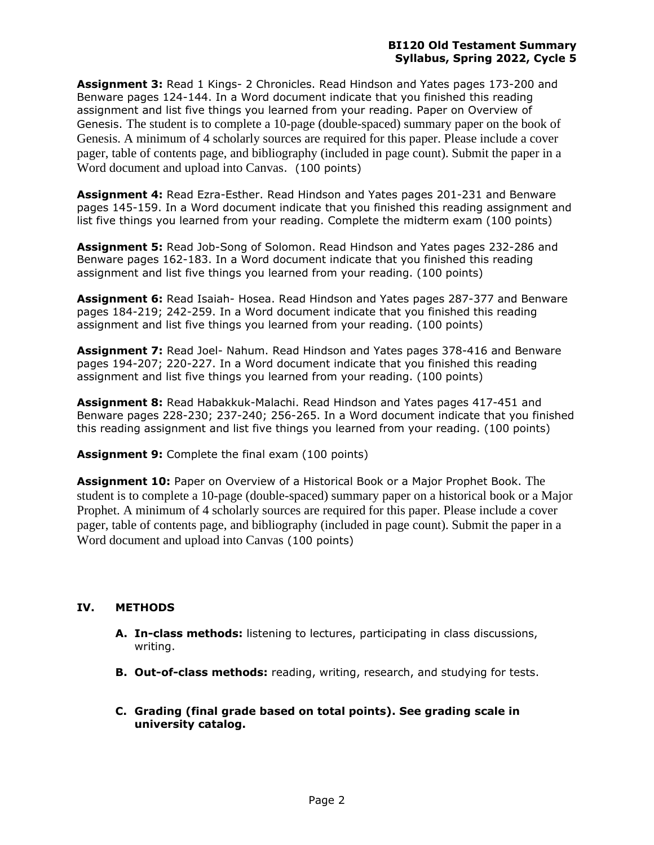**Assignment 3:** Read 1 Kings- 2 Chronicles. Read Hindson and Yates pages 173-200 and Benware pages 124-144. In a Word document indicate that you finished this reading assignment and list five things you learned from your reading. Paper on Overview of Genesis. The student is to complete a 10-page (double-spaced) summary paper on the book of Genesis. A minimum of 4 scholarly sources are required for this paper. Please include a cover pager, table of contents page, and bibliography (included in page count). Submit the paper in a Word document and upload into Canvas. (100 points)

**Assignment 4:** Read Ezra-Esther. Read Hindson and Yates pages 201-231 and Benware pages 145-159. In a Word document indicate that you finished this reading assignment and list five things you learned from your reading. Complete the midterm exam (100 points)

**Assignment 5:** Read Job-Song of Solomon. Read Hindson and Yates pages 232-286 and Benware pages 162-183. In a Word document indicate that you finished this reading assignment and list five things you learned from your reading. (100 points)

**Assignment 6:** Read Isaiah- Hosea. Read Hindson and Yates pages 287-377 and Benware pages 184-219; 242-259. In a Word document indicate that you finished this reading assignment and list five things you learned from your reading. (100 points)

**Assignment 7:** Read Joel- Nahum. Read Hindson and Yates pages 378-416 and Benware pages 194-207; 220-227. In a Word document indicate that you finished this reading assignment and list five things you learned from your reading. (100 points)

**Assignment 8:** Read Habakkuk-Malachi. Read Hindson and Yates pages 417-451 and Benware pages 228-230; 237-240; 256-265. In a Word document indicate that you finished this reading assignment and list five things you learned from your reading. (100 points)

**Assignment 9:** Complete the final exam (100 points)

**Assignment 10:** Paper on Overview of a Historical Book or a Major Prophet Book. The student is to complete a 10-page (double-spaced) summary paper on a historical book or a Major Prophet. A minimum of 4 scholarly sources are required for this paper. Please include a cover pager, table of contents page, and bibliography (included in page count). Submit the paper in a Word document and upload into Canvas (100 points)

# **IV. METHODS**

- **A. In-class methods:** listening to lectures, participating in class discussions, writing.
- **B. Out-of-class methods:** reading, writing, research, and studying for tests.
- **C. Grading (final grade based on total points). See grading scale in university catalog.**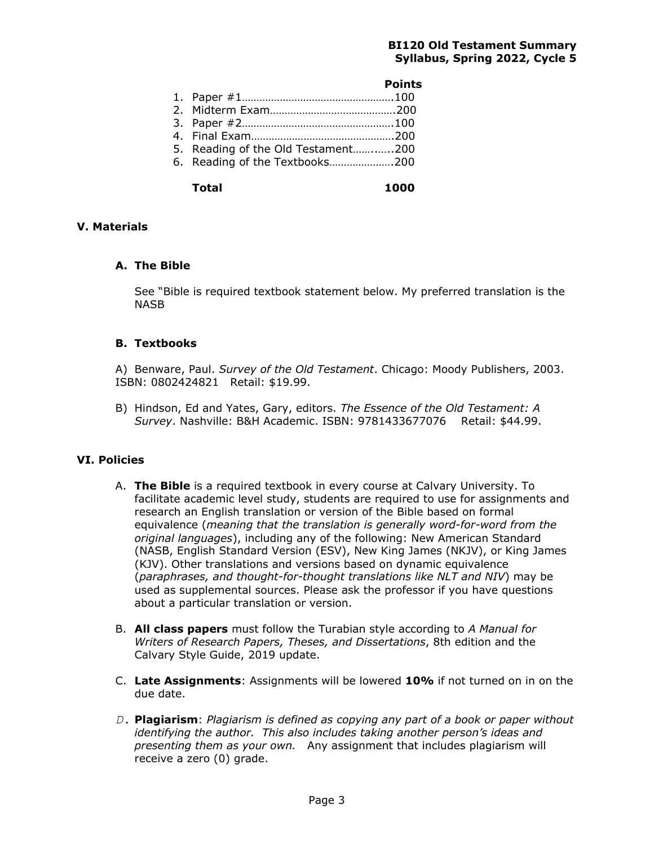|                                    | <b>Points</b> |
|------------------------------------|---------------|
|                                    |               |
|                                    |               |
|                                    |               |
|                                    |               |
| 5. Reading of the Old Testament200 |               |
| 6. Reading of the Textbooks200     |               |

**Total 1000**

## **V. Materials**

### **A. The Bible**

See "Bible is required textbook statement below. My preferred translation is the NASB

## **B. Textbooks**

A) Benware, Paul. *Survey of the Old Testament*. Chicago: Moody Publishers, 2003. ISBN: 0802424821 Retail: \$19.99.

B) Hindson, Ed and Yates, Gary, editors. *The Essence of the Old Testament: A Survey*. Nashville: B&H Academic. ISBN: 9781433677076 Retail: \$44.99.

## **VI. Policies**

- A. **The Bible** is a required textbook in every course at Calvary University. To facilitate academic level study, students are required to use for assignments and research an English translation or version of the Bible based on formal equivalence (*meaning that the translation is generally word-for-word from the original languages*), including any of the following: New American Standard (NASB, English Standard Version (ESV), New King James (NKJV), or King James (KJV). Other translations and versions based on dynamic equivalence (*paraphrases, and thought-for-thought translations like NLT and NIV*) may be used as supplemental sources. Please ask the professor if you have questions about a particular translation or version.
- B. **All class papers** must follow the Turabian style according to *A Manual for Writers of Research Papers, Theses, and Dissertations*, 8th edition and the Calvary Style Guide, 2019 update.
- C. **Late Assignments**: Assignments will be lowered **10%** if not turned on in on the due date.
- *D.* **Plagiarism**: *Plagiarism is defined as copying any part of a book or paper without identifying the author. This also includes taking another person's ideas and presenting them as your own.* Any assignment that includes plagiarism will receive a zero (0) grade.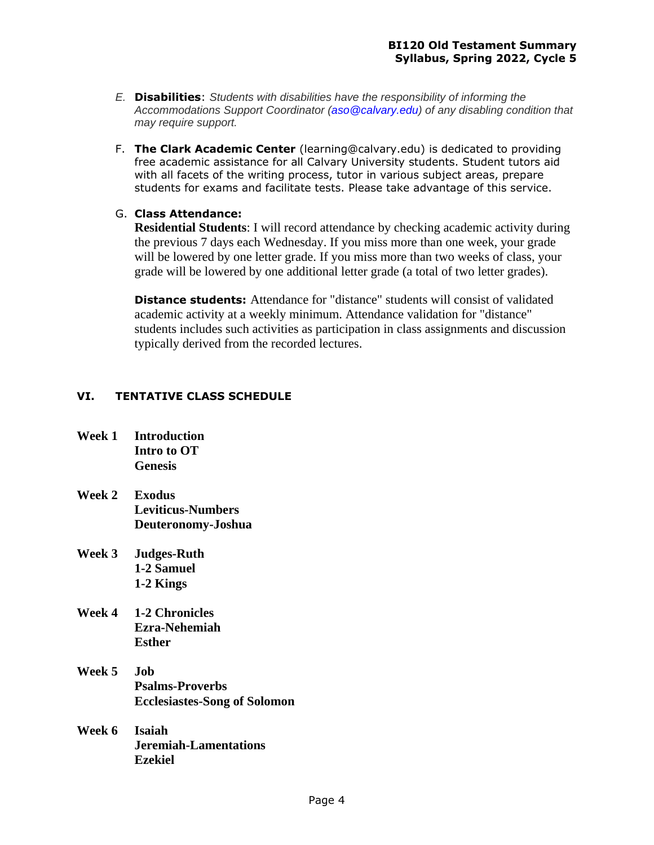- *E.* **Disabilities**: *Students with disabilities have the responsibility of informing the Accommodations Support Coordinator (aso@calvary.edu) of any disabling condition that may require support.*
- F. **The Clark Academic Center** (learning@calvary.edu) is dedicated to providing free academic assistance for all Calvary University students. Student tutors aid with all facets of the writing process, tutor in various subject areas, prepare students for exams and facilitate tests. Please take advantage of this service.

# G. **Class Attendance:**

**Residential Students**: I will record attendance by checking academic activity during the previous 7 days each Wednesday. If you miss more than one week, your grade will be lowered by one letter grade. If you miss more than two weeks of class, your grade will be lowered by one additional letter grade (a total of two letter grades).

**Distance students:** Attendance for "distance" students will consist of validated academic activity at a weekly minimum. Attendance validation for "distance" students includes such activities as participation in class assignments and discussion typically derived from the recorded lectures.

# **VI. TENTATIVE CLASS SCHEDULE**

- **Week 1 Introduction Intro to OT Genesis**
- **Week 2 Exodus Leviticus-Numbers Deuteronomy-Joshua**
- **Week 3 Judges-Ruth 1-2 Samuel 1-2 Kings**
- **Week 4 1-2 Chronicles Ezra-Nehemiah Esther**
- **Week 5 Job Psalms-Proverbs Ecclesiastes-Song of Solomon**
- **Week 6 Isaiah Jeremiah-Lamentations Ezekiel**